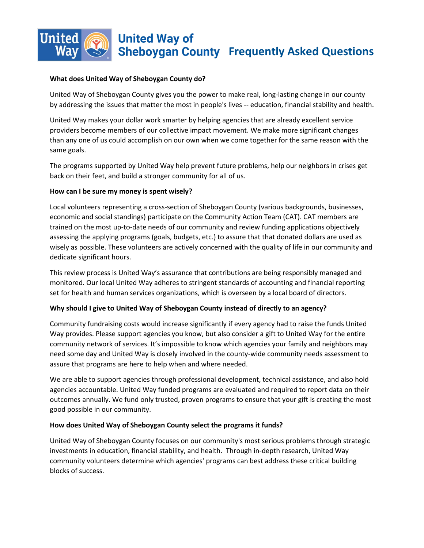## i **United Way of Sheboygan County Frequently Asked Questions**

## **What does United Way of Sheboygan County do?**

United Way of Sheboygan County gives you the power to make real, long-lasting change in our county by addressing the issues that matter the most in people's lives -- education, financial stability and health.

United Way makes your dollar work smarter by helping agencies that are already excellent service providers become members of our collective impact movement. We make more significant changes than any one of us could accomplish on our own when we come together for the same reason with the same goals.

The programs supported by United Way help prevent future problems, help our neighbors in crises get back on their feet, and build a stronger community for all of us.

#### **How can I be sure my money is spent wisely?**

Local volunteers representing a cross-section of Sheboygan County (various backgrounds, businesses, economic and social standings) participate on the Community Action Team (CAT). CAT members are trained on the most up-to-date needs of our community and review funding applications objectively assessing the applying programs (goals, budgets, etc.) to assure that that donated dollars are used as wisely as possible. These volunteers are actively concerned with the quality of life in our community and dedicate significant hours.

This review process is United Way's assurance that contributions are being responsibly managed and monitored. Our local United Way adheres to stringent standards of accounting and financial reporting set for health and human services organizations, which is overseen by a local board of directors.

## **Why should I give to United Way of Sheboygan County instead of directly to an agency?**

Community fundraising costs would increase significantly if every agency had to raise the funds United Way provides. Please support agencies you know, but also consider a gift to United Way for the entire community network of services. It's impossible to know which agencies your family and neighbors may need some day and United Way is closely involved in the county-wide community needs assessment to assure that programs are here to help when and where needed.

We are able to support agencies through professional development, technical assistance, and also hold agencies accountable. United Way funded programs are evaluated and required to report data on their outcomes annually. We fund only trusted, proven programs to ensure that your gift is creating the most good possible in our community.

## **How does United Way of Sheboygan County select the programs it funds?**

United Way of Sheboygan County focuses on our community's most serious problems through strategic investments in education, financial stability, and health. Through in-depth research, United Way community volunteers determine which agencies' programs can best address these critical building blocks of success.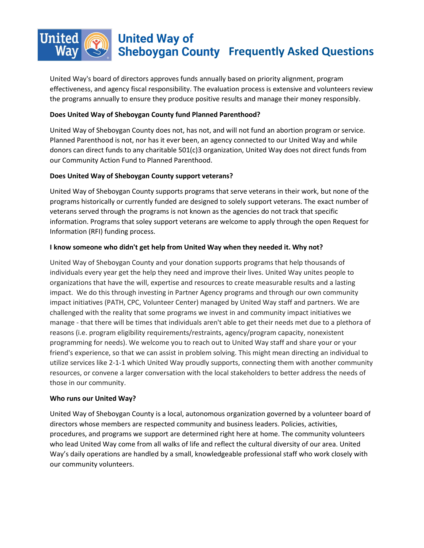

## **United Way of Sheboygan County Frequently Asked Questions**

United Way's board of directors approves funds annually based on priority alignment, program effectiveness, and agency fiscal responsibility. The evaluation process is extensive and volunteers review the programs annually to ensure they produce positive results and manage their money responsibly.

## **Does United Way of Sheboygan County fund Planned Parenthood?**

United Way of Sheboygan County does not, has not, and will not fund an abortion program or service. Planned Parenthood is not, nor has it ever been, an agency connected to our United Way and while donors can direct funds to any charitable 501(c)3 organization, United Way does not direct funds from our Community Action Fund to Planned Parenthood.

## **Does United Way of Sheboygan County support veterans?**

United Way of Sheboygan County supports programs that serve veterans in their work, but none of the programs historically or currently funded are designed to solely support veterans. The exact number of veterans served through the programs is not known as the agencies do not track that specific information. Programs that soley support veterans are welcome to apply through the open Request for Information (RFI) funding process.

## **I know someone who didn't get help from United Way when they needed it. Why not?**

United Way of Sheboygan County and your donation supports programs that help thousands of individuals every year get the help they need and improve their lives. United Way unites people to organizations that have the will, expertise and resources to create measurable results and a lasting impact. We do this through investing in Partner Agency programs and through our own community impact initiatives (PATH, CPC, Volunteer Center) managed by United Way staff and partners. We are challenged with the reality that some programs we invest in and community impact initiatives we manage - that there will be times that individuals aren't able to get their needs met due to a plethora of reasons (i.e. program eligibility requirements/restraints, agency/program capacity, nonexistent programming for needs). We welcome you to reach out to United Way staff and share your or your friend's experience, so that we can assist in problem solving. This might mean directing an individual to utilize services like 2-1-1 which United Way proudly supports, connecting them with another community resources, or convene a larger conversation with the local stakeholders to better address the needs of those in our community.

## **Who runs our United Way?**

United Way of Sheboygan County is a local, autonomous organization governed by a volunteer board of directors whose members are respected community and business leaders. Policies, activities, procedures, and programs we support are determined right here at home. The community volunteers who lead United Way come from all walks of life and reflect the cultural diversity of our area. United Way's daily operations are handled by a small, knowledgeable professional staff who work closely with our community volunteers.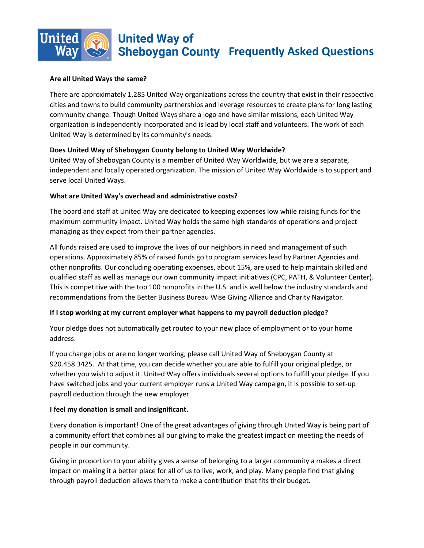# i

# **United Way of Sheboygan County Frequently Asked Questions**

## **Are all United Ways the same?**

There are approximately 1,285 United Way organizations across the country that exist in their respective cities and towns to build community partnerships and leverage resources to create plans for long lasting community change. Though United Ways share a logo and have similar missions, each United Way organization is independently incorporated and is lead by local staff and volunteers. The work of each United Way is determined by its community's needs.

## **Does United Way of Sheboygan County belong to United Way Worldwide?**

United Way of Sheboygan County is a member of United Way Worldwide, but we are a separate, independent and locally operated organization. The mission of United Way Worldwide is to support and serve local United Ways.

## **What are United Way's overhead and administrative costs?**

The board and staff at United Way are dedicated to keeping expenses low while raising funds for the maximum community impact. United Way holds the same high standards of operations and project managing as they expect from their partner agencies.

All funds raised are used to improve the lives of our neighbors in need and management of such operations. Approximately 85% of raised funds go to program services lead by Partner Agencies and other nonprofits. Our concluding operating expenses, about 15%, are used to help maintain skilled and qualified staff as well as manage our own community impact initiatives (CPC, PATH, & Volunteer Center). This is competitive with the top 100 nonprofits in the U.S. and is well below the industry standards and recommendations from the Better Business Bureau Wise Giving Alliance and Charity Navigator.

## **If I stop working at my current employer what happens to my payroll deduction pledge?**

Your pledge does not automatically get routed to your new place of employment or to your home address.

If you change jobs or are no longer working, please call United Way of Sheboygan County at 920.458.3425. At that time, you can decide whether you are able to fulfill your original pledge, or whether you wish to adjust it. United Way offers individuals several options to fulfill your pledge. If you have switched jobs and your current employer runs a United Way campaign, it is possible to set-up payroll deduction through the new employer.

## **I feel my donation is small and insignificant.**

Every donation is important! One of the great advantages of giving through United Way is being part of a community effort that combines all our giving to make the greatest impact on meeting the needs of people in our community.

Giving in proportion to your ability gives a sense of belonging to a larger community a makes a direct impact on making it a better place for all of us to live, work, and play. Many people find that giving through payroll deduction allows them to make a contribution that fits their budget.